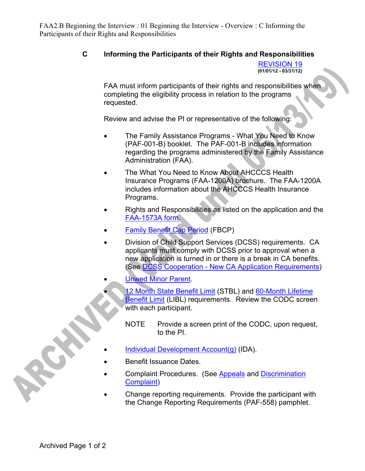FAA2.B Beginning the Interview : 01 Beginning the Interview - Overview : C Informing the Participants of their Rights and Responsibilities

## **C Informing the Participants of their Rights and Responsibilities**

REVISION 19 **(01/01/12 - 03/31/12)**

FAA must inform participants of their rights and responsibilities when completing the eligibility process in relation to the programs requested.

Review and advise the PI or representative of the following:

- The Family Assistance Programs What You Need to Know (PAF-001-B) booklet. The PAF-001-B includes information regarding the programs administered by the Family Assistance Administration (FAA).
- The What You Need to Know About AHCCCS Health Insurance Programs (FAA-1200A) brochure. The FAA-1200A includes information about the AHCCCS Health Insurance Programs.
- Rights and Responsibilities as listed on the application and the [FAA-1573A form.](https://ourdes.az.gov/sites/default/files/document-center/FAA-1573A.pdf)
- Family Benefit Cap Period (FBCP)
- Division of Child Support Services (DCSS) requirements. CA applicants must comply with DCSS prior to approval when a new application is turned in or there is a break in CA benefits. (See DCSS Cooperation - New CA Application Requirements)
	- Unwed Minor Parent.
		- 12 Month State Benefit Limit (STBL) and 60-Month Lifetime Benefit Limit (LIBL) requirements. Review the CODC screen with each participant.
			- NOTE Provide a screen print of the CODC, upon request, to the PI.
	- Individual Development Account(g) (IDA).
- Benefit Issuance Dates.
- Complaint Procedures. (See Appeals and Discrimination Complaint)
- Change reporting requirements. Provide the participant with the Change Reporting Requirements (PAF-558) pamphlet.